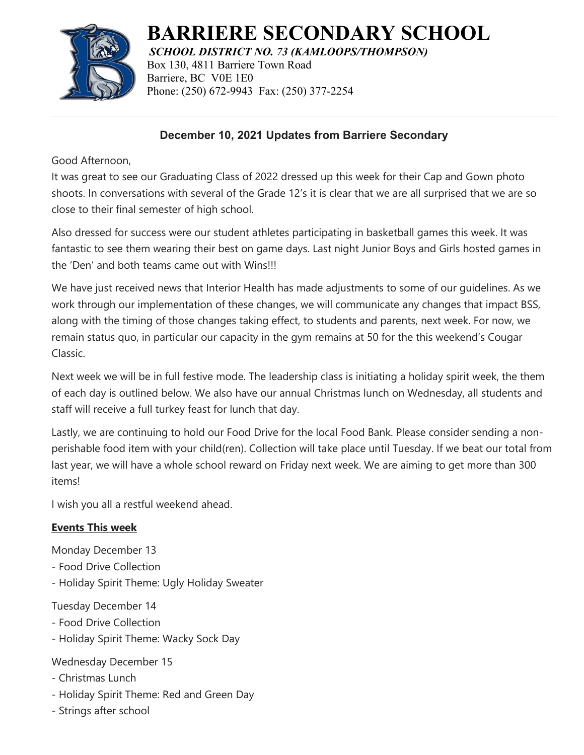

# **BARRIERE SECONDARY SCHOOL**

*SCHOOL DISTRICT NO. 73 (KAMLOOPS/THOMPSON)* Box 130, 4811 Barriere Town Road Barriere, BC V0E 1E0 Phone: (250) 672-9943 Fax: (250) 377-2254

## **December 10, 2021 Updates from Barriere Secondary**

Good Afternoon,

It was great to see our Graduating Class of 2022 dressed up this week for their Cap and Gown photo shoots. In conversations with several of the Grade 12's it is clear that we are all surprised that we are so close to their final semester of high school.

Also dressed for success were our student athletes participating in basketball games this week. It was fantastic to see them wearing their best on game days. Last night Junior Boys and Girls hosted games in the 'Den' and both teams came out with Wins!!!

We have just received news that Interior Health has made adjustments to some of our guidelines. As we work through our implementation of these changes, we will communicate any changes that impact BSS, along with the timing of those changes taking effect, to students and parents, next week. For now, we remain status quo, in particular our capacity in the gym remains at 50 for the this weekend's Cougar Classic.

Next week we will be in full festive mode. The leadership class is initiating a holiday spirit week, the them of each day is outlined below. We also have our annual Christmas lunch on Wednesday, all students and staff will receive a full turkey feast for lunch that day.

Lastly, we are continuing to hold our Food Drive for the local Food Bank. Please consider sending a nonperishable food item with your child(ren). Collection will take place until Tuesday. If we beat our total from last year, we will have a whole school reward on Friday next week. We are aiming to get more than 300 items!

I wish you all a restful weekend ahead.

## **Events This week**

Monday December 13

- Food Drive Collection
- Holiday Spirit Theme: Ugly Holiday Sweater

Tuesday December 14

- Food Drive Collection
- Holiday Spirit Theme: Wacky Sock Day

# Wednesday December 15

- Christmas Lunch
- Holiday Spirit Theme: Red and Green Day
- Strings after school